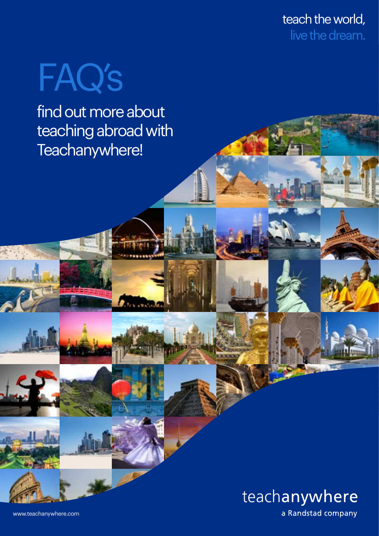teach the world, live the dream.

# FAQ's

find out more about teaching abroad with Teachanywhere!



[www.teachanywhere.com](http://teachanywhere.com)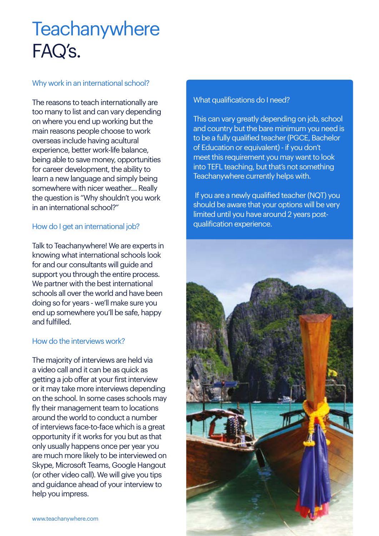# **Teachanywhere** FAQ's.

#### Why work in an international school?

The reasons to teach internationally are too many to list and can vary depending on where you end up working but the main reasons people choose to work overseas include having acultural experience, better work-life balance, being able to save money, opportunities for career development, the ability to learn a new language and simply being somewhere with nicer weather… Really the question is "Why shouldn't you work in an international school?"

# How do I get an international job?

Talk to Teachanywhere! We are experts in knowing what international schools look for and our consultants will quide and support you through the entire process. We partner with the best international schools all over the world and have been doing so for years - we'll make sure you end up somewhere you'll be safe, happy and fulfilled.

#### How do the interviews work?

The majority of interviews are held via a video call and it can be as quick as getting a job offer at your first interview or it may take more interviews depending on the school. In some cases schools may fly their management team to locations around the world to conduct a number of interviews face-to-face which is a great opportunity if it works for you but as that only usually happens once per year you are much more likely to be interviewed on Skype, Microsoft Teams, Google Hangout (or other video call). We will give you tips and guidance ahead of your interview to help you impress.

#### What qualifications do I need?

This can vary greatly depending on job, school and country but the bare minimum you need is to be a fully qualified teacher (PGCE, Bachelor of Education or equivalent) - if you don't meet this requirement you may want to look into TEFL teaching, but that's not something Teachanywhere currently helps with.

 If you are a newly qualified teacher (NQT) you should be aware that your options will be very limited until you have around 2 years postqualification experience.

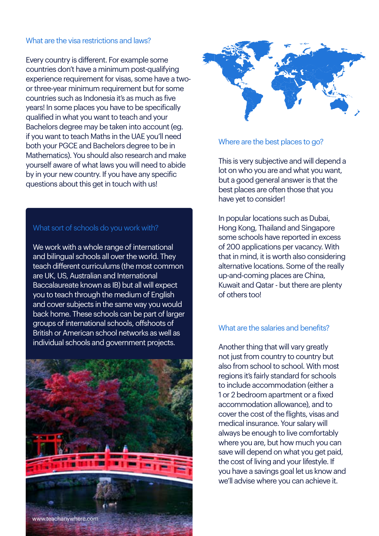#### What are the visa restrictions and laws?

Every country is different. For example some countries don't have a minimum post-qualifying experience requirement for visas, some have a twoor three-year minimum requirement but for some countries such as Indonesia it's as much as five years! In some places you have to be specifically qualified in what you want to teach and your Bachelors degree may be taken into account (eg. if you want to teach Maths in the UAE you'll need both your PGCE and Bachelors degree to be in Mathematics). You should also research and make yourself aware of what laws you will need to abide by in your new country. If you have any specific questions about this get in touch with us!

#### What sort of schools do you work with?

We work with a whole range of international and bilingual schools all over the world. They teach different curriculums (the most common are UK, US, Australian and International Baccalaureate known as IB) but all will expect you to teach through the medium of English and cover subjects in the same way you would back home. These schools can be part of larger groups of international schools, offshoots of British or American school networks as well as individual schools and government projects.





#### Where are the best places to go?

This is very subjective and will depend a lot on who you are and what you want, but a good general answer is that the best places are often those that you have yet to consider!

In popular locations such as Dubai, Hong Kong, Thailand and Singapore some schools have reported in excess of 200 applications per vacancy. With that in mind, it is worth also considering alternative locations. Some of the really up-and-coming places are China, Kuwait and Qatar - but there are plenty of others too!

#### What are the salaries and benefits?

Another thing that will vary greatly not just from country to country but also from school to school. With most regions it's fairly standard for schools to include accommodation (either a 1 or 2 bedroom apartment or a fixed accommodation allowance), and to cover the cost of the flights, visas and medical insurance. Your salary will always be enough to live comfortably where you are, but how much you can save will depend on what you get paid, the cost of living and your lifestyle. If you have a savings goal let us know and we'll advise where you can achieve it.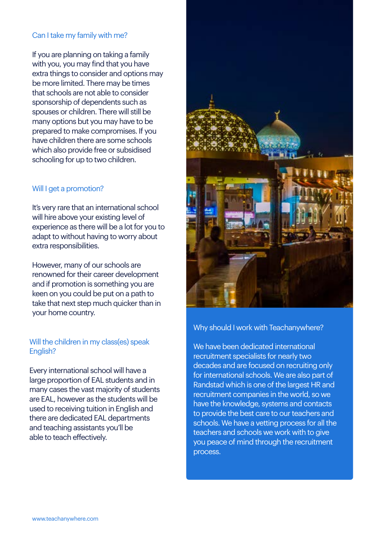# Can I take my family with me?

If you are planning on taking a family with you, you may find that you have extra things to consider and options may be more limited. There may be times that schools are not able to consider sponsorship of dependents such as spouses or children. There will still be many options but you may have to be prepared to make compromises. If you have children there are some schools which also provide free or subsidised schooling for up to two children.

#### Will I get a promotion?

It's very rare that an international school will hire above your existing level of experience as there will be a lot for you to adapt to without having to worry about extra responsibilities.

However, many of our schools are renowned for their career development and if promotion is something you are keen on you could be put on a path to take that next step much quicker than in your home country.

# Will the children in my class(es) speak English?

Every international school will have a large proportion of EAL students and in many cases the vast majority of students are EAL, however as the students will be used to receiving tuition in English and there are dedicated EAL departments and teaching assistants you'll be able to teach effectively.



#### Why should I work with Teachanywhere?

We have been dedicated international recruitment specialists for nearly two decades and are focused on recruiting only for international schools. We are also part of Randstad which is one of the largest HR and recruitment companies in the world, so we have the knowledge, systems and contacts to provide the best care to our teachers and schools. We have a vetting process for all the teachers and schools we work with to give you peace of mind through the recruitment process.